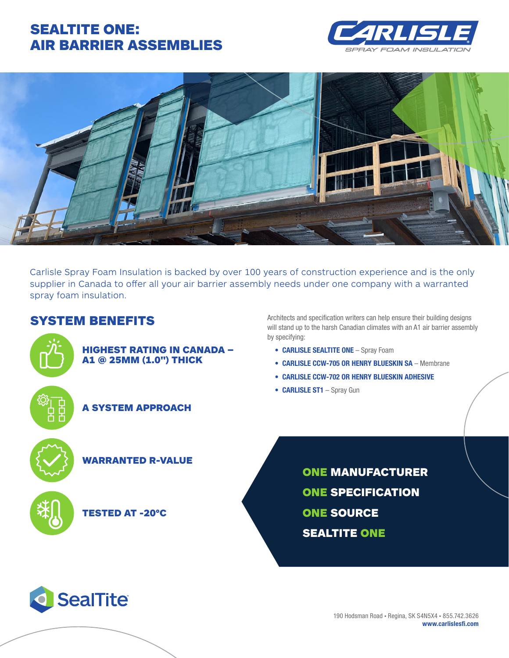# SEALTITE ONE: AIR BARRIER ASSEMBLIES





Carlisle Spray Foam Insulation is backed by over 100 years of construction experience and is the only supplier in Canada to offer all your air barrier assembly needs under one company with a warranted spray foam insulation.

## SYSTEM BENEFITS



#### HIGHEST RATING IN CANADA – A1 @ 25MM (1.0") THICK



### A SYSTEM APPROACH

WARRANTED R-VALUE



### TESTED AT -20°C

**SealTite** 

Architects and specification writers can help ensure their building designs will stand up to the harsh Canadian climates with an A1 air barrier assembly by specifying:

- **• CARLISLE SEALTITE ONE** Spray Foam
- **• CARLISLE CCW-705 OR HENRY BLUESKIN SA** Membrane
- **• CARLISLE CCW-702 OR HENRY BLUESKIN ADHESIVE**
- **• CARLISLE ST1** Spray Gun

ONE MANUFACTURER ONE SPECIFICATION ONE SOURCE SEALTITE ONE